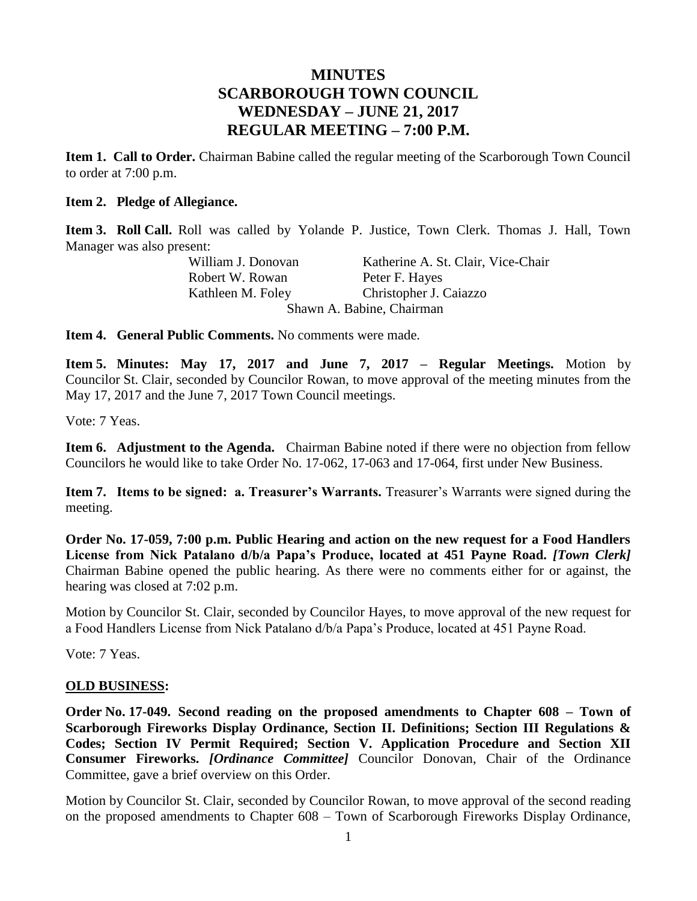# **MINUTES SCARBOROUGH TOWN COUNCIL WEDNESDAY – JUNE 21, 2017 REGULAR MEETING – 7:00 P.M.**

**Item 1. Call to Order.** Chairman Babine called the regular meeting of the Scarborough Town Council to order at 7:00 p.m.

### **Item 2. Pledge of Allegiance.**

**Item 3. Roll Call.** Roll was called by Yolande P. Justice, Town Clerk. Thomas J. Hall, Town Manager was also present:

William J. Donovan Katherine A. St. Clair, Vice-Chair Robert W. Rowan Peter F. Hayes Kathleen M. Foley Christopher J. Caiazzo Shawn A. Babine, Chairman

**Item 4. General Public Comments.** No comments were made.

**Item 5. Minutes: May 17, 2017 and June 7, 2017 – Regular Meetings.** Motion by Councilor St. Clair, seconded by Councilor Rowan, to move approval of the meeting minutes from the May 17, 2017 and the June 7, 2017 Town Council meetings.

Vote: 7 Yeas.

**Item 6. Adjustment to the Agenda.** Chairman Babine noted if there were no objection from fellow Councilors he would like to take Order No. 17-062, 17-063 and 17-064, first under New Business.

**Item 7. Items to be signed: a. Treasurer's Warrants.** Treasurer's Warrants were signed during the meeting.

**Order No. 17-059, 7:00 p.m. Public Hearing and action on the new request for a Food Handlers License from Nick Patalano d/b/a Papa's Produce, located at 451 Payne Road.** *[Town Clerk]* Chairman Babine opened the public hearing. As there were no comments either for or against, the hearing was closed at 7:02 p.m.

Motion by Councilor St. Clair, seconded by Councilor Hayes, to move approval of the new request for a Food Handlers License from Nick Patalano d/b/a Papa's Produce, located at 451 Payne Road.

Vote: 7 Yeas.

## **OLD BUSINESS:**

**Order No. 17-049. Second reading on the proposed amendments to Chapter 608 – Town of Scarborough Fireworks Display Ordinance, Section II. Definitions; Section III Regulations & Codes; Section IV Permit Required; Section V. Application Procedure and Section XII Consumer Fireworks.** *[Ordinance Committee]* Councilor Donovan, Chair of the Ordinance Committee, gave a brief overview on this Order.

Motion by Councilor St. Clair, seconded by Councilor Rowan, to move approval of the second reading on the proposed amendments to Chapter 608 – Town of Scarborough Fireworks Display Ordinance,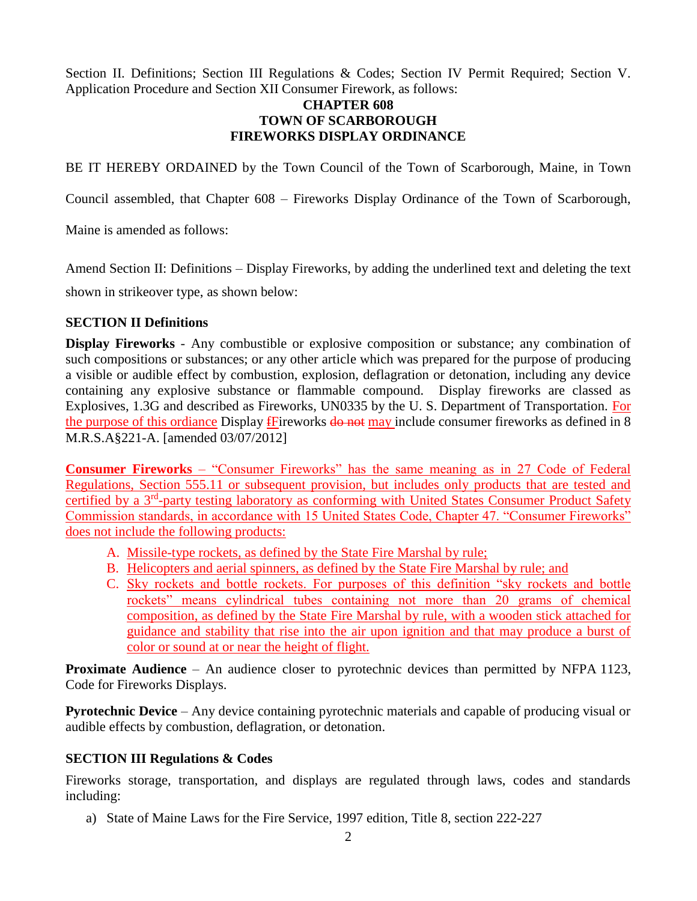Section II. Definitions; Section III Regulations & Codes; Section IV Permit Required; Section V. Application Procedure and Section XII Consumer Firework, as follows:

## **CHAPTER 608 TOWN OF SCARBOROUGH FIREWORKS DISPLAY ORDINANCE**

BE IT HEREBY ORDAINED by the Town Council of the Town of Scarborough, Maine, in Town

Council assembled, that Chapter 608 – Fireworks Display Ordinance of the Town of Scarborough,

Maine is amended as follows:

Amend Section II: Definitions – Display Fireworks, by adding the underlined text and deleting the text

shown in strikeover type, as shown below:

### **SECTION II Definitions**

**Display Fireworks** - Any combustible or explosive composition or substance; any combination of such compositions or substances; or any other article which was prepared for the purpose of producing a visible or audible effect by combustion, explosion, deflagration or detonation, including any device containing any explosive substance or flammable compound. Display fireworks are classed as Explosives, 1.3G and described as Fireworks, UN0335 by the U. S. Department of Transportation. For the purpose of this ordiance Display fFireworks  $\frac{d\theta}{dr}$  may include consumer fireworks as defined in 8 M.R.S.A§221-A. [amended 03/07/2012]

**Consumer Fireworks** – "Consumer Fireworks" has the same meaning as in 27 Code of Federal Regulations, Section 555.11 or subsequent provision, but includes only products that are tested and certified by a 3<sup>rd</sup>-party testing laboratory as conforming with United States Consumer Product Safety Commission standards, in accordance with 15 United States Code, Chapter 47. "Consumer Fireworks" does not include the following products:

- A. Missile-type rockets, as defined by the State Fire Marshal by rule;
- B. Helicopters and aerial spinners, as defined by the State Fire Marshal by rule; and
- C. Sky rockets and bottle rockets. For purposes of this definition "sky rockets and bottle rockets" means cylindrical tubes containing not more than 20 grams of chemical composition, as defined by the State Fire Marshal by rule, with a wooden stick attached for guidance and stability that rise into the air upon ignition and that may produce a burst of color or sound at or near the height of flight.

**Proximate Audience** – An audience closer to pyrotechnic devices than permitted by NFPA 1123, Code for Fireworks Displays.

**Pyrotechnic Device** – Any device containing pyrotechnic materials and capable of producing visual or audible effects by combustion, deflagration, or detonation.

### **SECTION III Regulations & Codes**

Fireworks storage, transportation, and displays are regulated through laws, codes and standards including:

a) State of Maine Laws for the Fire Service, 1997 edition, Title 8, section 222-227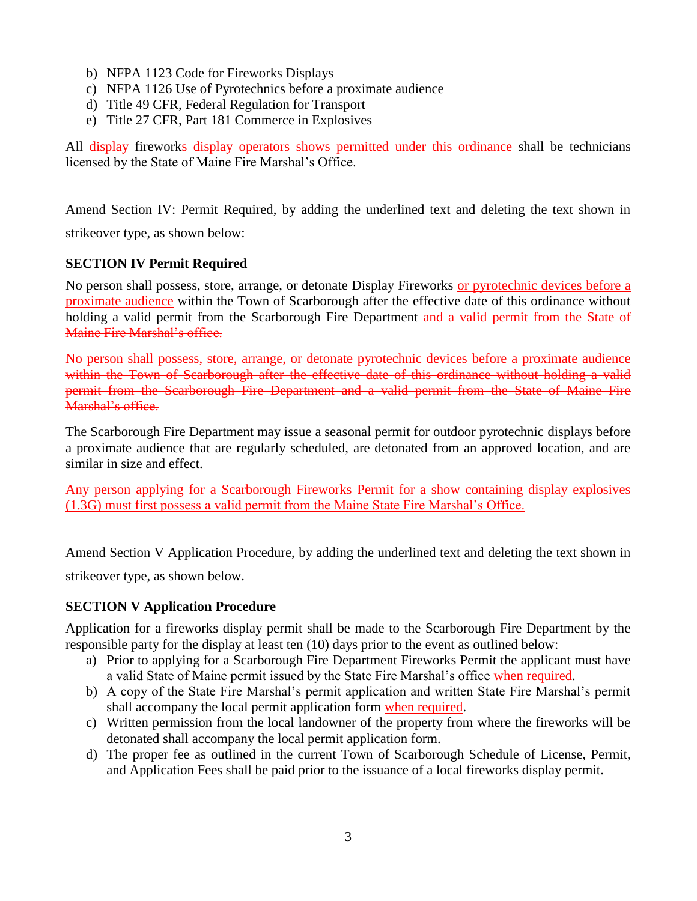- b) NFPA 1123 Code for Fireworks Displays
- c) NFPA 1126 Use of Pyrotechnics before a proximate audience
- d) Title 49 CFR, Federal Regulation for Transport
- e) Title 27 CFR, Part 181 Commerce in Explosives

All display fireworks display operators shows permitted under this ordinance shall be technicians licensed by the State of Maine Fire Marshal's Office.

Amend Section IV: Permit Required, by adding the underlined text and deleting the text shown in strikeover type, as shown below:

## **SECTION IV Permit Required**

No person shall possess, store, arrange, or detonate Display Fireworks or pyrotechnic devices before a proximate audience within the Town of Scarborough after the effective date of this ordinance without holding a valid permit from the Scarborough Fire Department and a valid permit from the State of Maine Fire Marshal's office.

No person shall possess, store, arrange, or detonate pyrotechnic devices before a proximate audience within the Town of Scarborough after the effective date of this ordinance without holding a valid permit from the Scarborough Fire Department and a valid permit from the State of Maine Fire Marshal's office

The Scarborough Fire Department may issue a seasonal permit for outdoor pyrotechnic displays before a proximate audience that are regularly scheduled, are detonated from an approved location, and are similar in size and effect.

Any person applying for a Scarborough Fireworks Permit for a show containing display explosives (1.3G) must first possess a valid permit from the Maine State Fire Marshal's Office.

Amend Section V Application Procedure, by adding the underlined text and deleting the text shown in

strikeover type, as shown below.

## **SECTION V Application Procedure**

Application for a fireworks display permit shall be made to the Scarborough Fire Department by the responsible party for the display at least ten (10) days prior to the event as outlined below:

- a) Prior to applying for a Scarborough Fire Department Fireworks Permit the applicant must have a valid State of Maine permit issued by the State Fire Marshal's office when required.
- b) A copy of the State Fire Marshal's permit application and written State Fire Marshal's permit shall accompany the local permit application form when required.
- c) Written permission from the local landowner of the property from where the fireworks will be detonated shall accompany the local permit application form.
- d) The proper fee as outlined in the current Town of Scarborough Schedule of License, Permit, and Application Fees shall be paid prior to the issuance of a local fireworks display permit.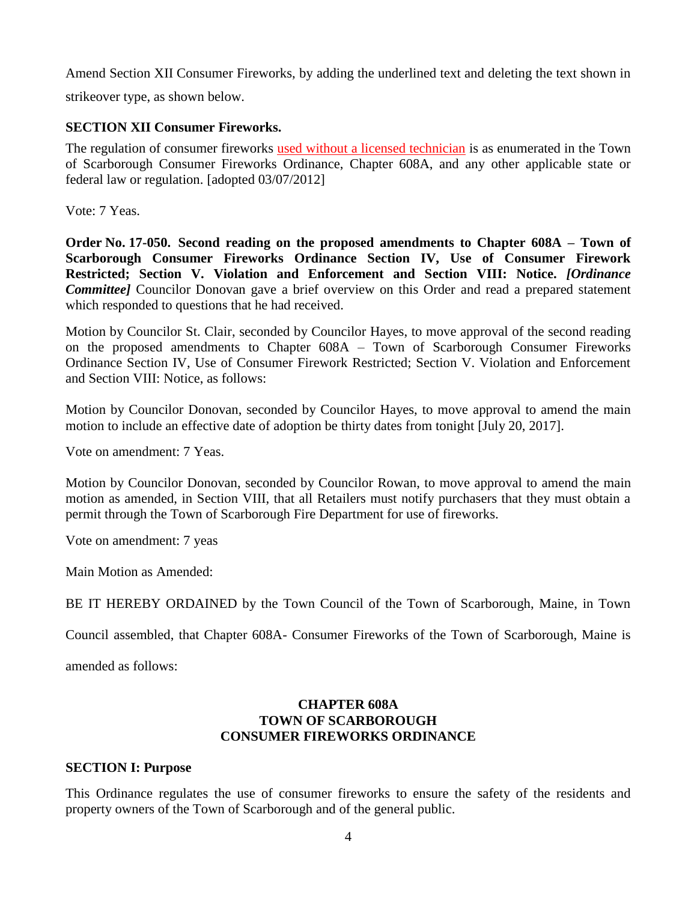Amend Section XII Consumer Fireworks, by adding the underlined text and deleting the text shown in

strikeover type, as shown below.

## **SECTION XII Consumer Fireworks.**

The regulation of consumer fireworks used without a licensed technician is as enumerated in the Town of Scarborough Consumer Fireworks Ordinance, Chapter 608A, and any other applicable state or federal law or regulation. [adopted 03/07/2012]

Vote: 7 Yeas.

**Order No. 17-050. Second reading on the proposed amendments to Chapter 608A – Town of Scarborough Consumer Fireworks Ordinance Section IV, Use of Consumer Firework Restricted; Section V. Violation and Enforcement and Section VIII: Notice.** *[Ordinance Committee]* Councilor Donovan gave a brief overview on this Order and read a prepared statement which responded to questions that he had received.

Motion by Councilor St. Clair, seconded by Councilor Hayes, to move approval of the second reading on the proposed amendments to Chapter 608A – Town of Scarborough Consumer Fireworks Ordinance Section IV, Use of Consumer Firework Restricted; Section V. Violation and Enforcement and Section VIII: Notice, as follows:

Motion by Councilor Donovan, seconded by Councilor Hayes, to move approval to amend the main motion to include an effective date of adoption be thirty dates from tonight [July 20, 2017].

Vote on amendment: 7 Yeas.

Motion by Councilor Donovan, seconded by Councilor Rowan, to move approval to amend the main motion as amended, in Section VIII, that all Retailers must notify purchasers that they must obtain a permit through the Town of Scarborough Fire Department for use of fireworks.

Vote on amendment: 7 yeas

Main Motion as Amended:

BE IT HEREBY ORDAINED by the Town Council of the Town of Scarborough, Maine, in Town

Council assembled, that Chapter 608A- Consumer Fireworks of the Town of Scarborough, Maine is

amended as follows:

## **CHAPTER 608A TOWN OF SCARBOROUGH CONSUMER FIREWORKS ORDINANCE**

### **SECTION I: Purpose**

This Ordinance regulates the use of consumer fireworks to ensure the safety of the residents and property owners of the Town of Scarborough and of the general public.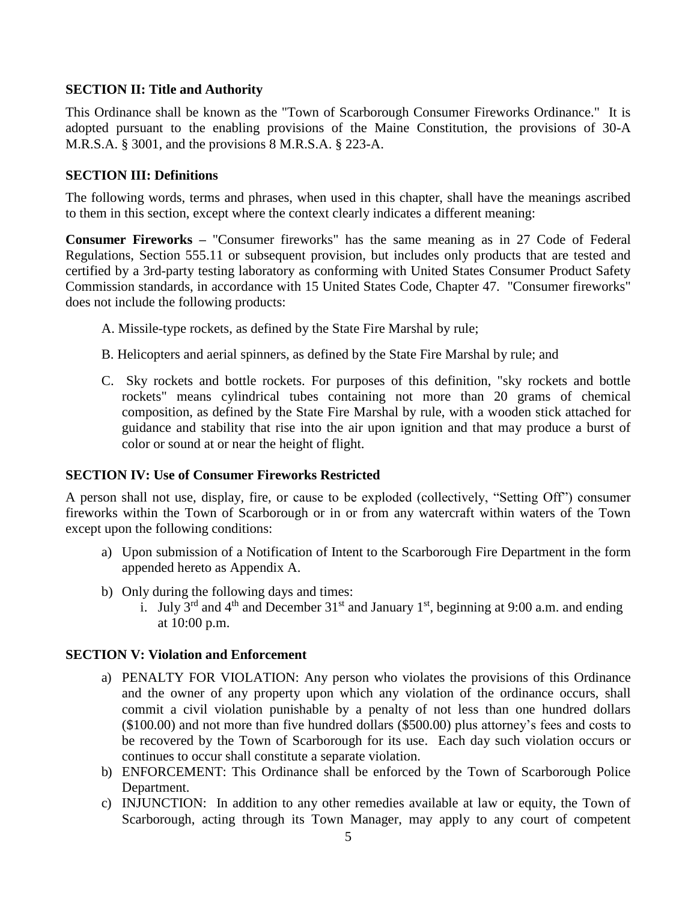### **SECTION II: Title and Authority**

This Ordinance shall be known as the "Town of Scarborough Consumer Fireworks Ordinance." It is adopted pursuant to the enabling provisions of the Maine Constitution, the provisions of 30-A M.R.S.A. § 3001, and the provisions 8 M.R.S.A. § 223-A.

### **SECTION III: Definitions**

The following words, terms and phrases, when used in this chapter, shall have the meanings ascribed to them in this section, except where the context clearly indicates a different meaning:

**Consumer Fireworks –** "Consumer fireworks" has the same meaning as in 27 Code of Federal Regulations, Section 555.11 or subsequent provision, but includes only products that are tested and certified by a 3rd-party testing laboratory as conforming with United States Consumer Product Safety Commission standards, in accordance with 15 United States Code, Chapter 47. "Consumer fireworks" does not include the following products:

- A. Missile-type rockets, as defined by the State Fire Marshal by rule;
- B. Helicopters and aerial spinners, as defined by the State Fire Marshal by rule; and
- C. Sky rockets and bottle rockets. For purposes of this definition, "sky rockets and bottle rockets" means cylindrical tubes containing not more than 20 grams of chemical composition, as defined by the State Fire Marshal by rule, with a wooden stick attached for guidance and stability that rise into the air upon ignition and that may produce a burst of color or sound at or near the height of flight.

### **SECTION IV: Use of Consumer Fireworks Restricted**

A person shall not use, display, fire, or cause to be exploded (collectively, "Setting Off") consumer fireworks within the Town of Scarborough or in or from any watercraft within waters of the Town except upon the following conditions:

- a) Upon submission of a Notification of Intent to the Scarborough Fire Department in the form appended hereto as Appendix A.
- b) Only during the following days and times:
	- i. July  $3^{rd}$  and  $4^{th}$  and December  $31^{st}$  and January  $1^{st}$ , beginning at 9:00 a.m. and ending at 10:00 p.m.

### **SECTION V: Violation and Enforcement**

- a) PENALTY FOR VIOLATION: Any person who violates the provisions of this Ordinance and the owner of any property upon which any violation of the ordinance occurs, shall commit a civil violation punishable by a penalty of not less than one hundred dollars (\$100.00) and not more than five hundred dollars (\$500.00) plus attorney's fees and costs to be recovered by the Town of Scarborough for its use. Each day such violation occurs or continues to occur shall constitute a separate violation.
- b) ENFORCEMENT: This Ordinance shall be enforced by the Town of Scarborough Police Department.
- c) INJUNCTION: In addition to any other remedies available at law or equity, the Town of Scarborough, acting through its Town Manager, may apply to any court of competent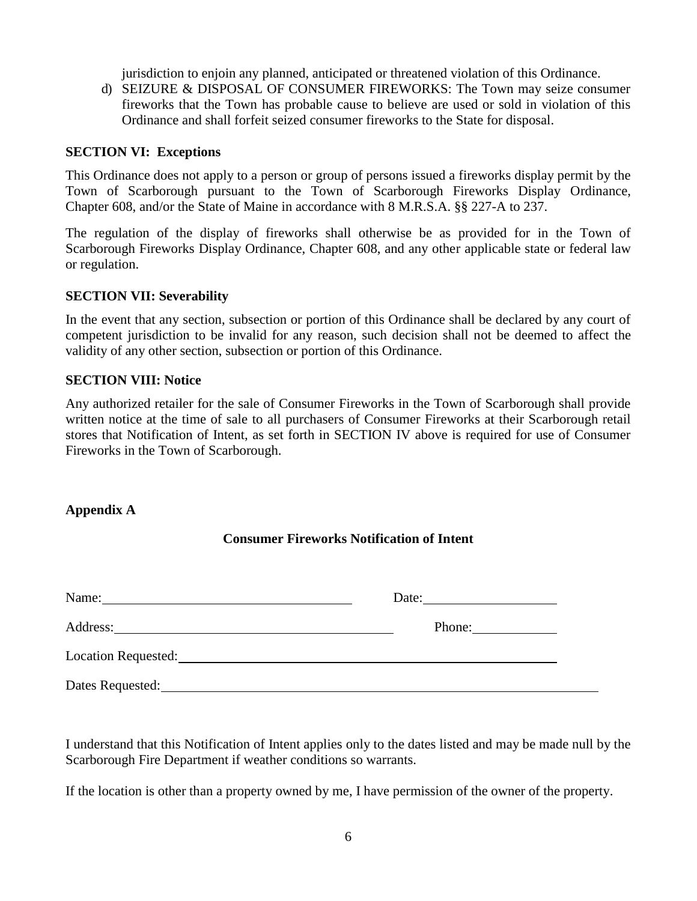jurisdiction to enjoin any planned, anticipated or threatened violation of this Ordinance.

d) SEIZURE & DISPOSAL OF CONSUMER FIREWORKS: The Town may seize consumer fireworks that the Town has probable cause to believe are used or sold in violation of this Ordinance and shall forfeit seized consumer fireworks to the State for disposal.

### **SECTION VI: Exceptions**

This Ordinance does not apply to a person or group of persons issued a fireworks display permit by the Town of Scarborough pursuant to the Town of Scarborough Fireworks Display Ordinance, Chapter 608, and/or the State of Maine in accordance with 8 M.R.S.A. §§ 227-A to 237.

The regulation of the display of fireworks shall otherwise be as provided for in the Town of Scarborough Fireworks Display Ordinance, Chapter 608, and any other applicable state or federal law or regulation.

### **SECTION VII: Severability**

In the event that any section, subsection or portion of this Ordinance shall be declared by any court of competent jurisdiction to be invalid for any reason, such decision shall not be deemed to affect the validity of any other section, subsection or portion of this Ordinance.

## **SECTION VIII: Notice**

Any authorized retailer for the sale of Consumer Fireworks in the Town of Scarborough shall provide written notice at the time of sale to all purchasers of Consumer Fireworks at their Scarborough retail stores that Notification of Intent, as set forth in SECTION IV above is required for use of Consumer Fireworks in the Town of Scarborough.

## **Appendix A**

## **Consumer Fireworks Notification of Intent**

| Name:                                                                                                                                                                                                                                | Date: $\qquad \qquad$                                                                                                                                                                                                                                                                                                                                                                                                                            |
|--------------------------------------------------------------------------------------------------------------------------------------------------------------------------------------------------------------------------------------|--------------------------------------------------------------------------------------------------------------------------------------------------------------------------------------------------------------------------------------------------------------------------------------------------------------------------------------------------------------------------------------------------------------------------------------------------|
| Address: <u>and the contract of the contract of the contract of the contract of the contract of the contract of the contract of the contract of the contract of the contract of the contract of the contract of the contract of </u> | Phone: $\frac{1}{\sqrt{1-\frac{1}{2}} \cdot \frac{1}{\sqrt{1-\frac{1}{2}} \cdot \frac{1}{\sqrt{1-\frac{1}{2}} \cdot \frac{1}{\sqrt{1-\frac{1}{2}} \cdot \frac{1}{\sqrt{1-\frac{1}{2}} \cdot \frac{1}{\sqrt{1-\frac{1}{2}} \cdot \frac{1}{\sqrt{1-\frac{1}{2}} \cdot \frac{1}{\sqrt{1-\frac{1}{2}} \cdot \frac{1}{\sqrt{1-\frac{1}{2}} \cdot \frac{1}{\sqrt{1-\frac{1}{2}} \cdot \frac{1}{\sqrt{1-\frac{1}{2}} \cdot \frac{1}{\sqrt{1-\frac{1}{2$ |
| Location Requested:                                                                                                                                                                                                                  |                                                                                                                                                                                                                                                                                                                                                                                                                                                  |
| Dates Requested:                                                                                                                                                                                                                     |                                                                                                                                                                                                                                                                                                                                                                                                                                                  |

I understand that this Notification of Intent applies only to the dates listed and may be made null by the Scarborough Fire Department if weather conditions so warrants.

If the location is other than a property owned by me, I have permission of the owner of the property.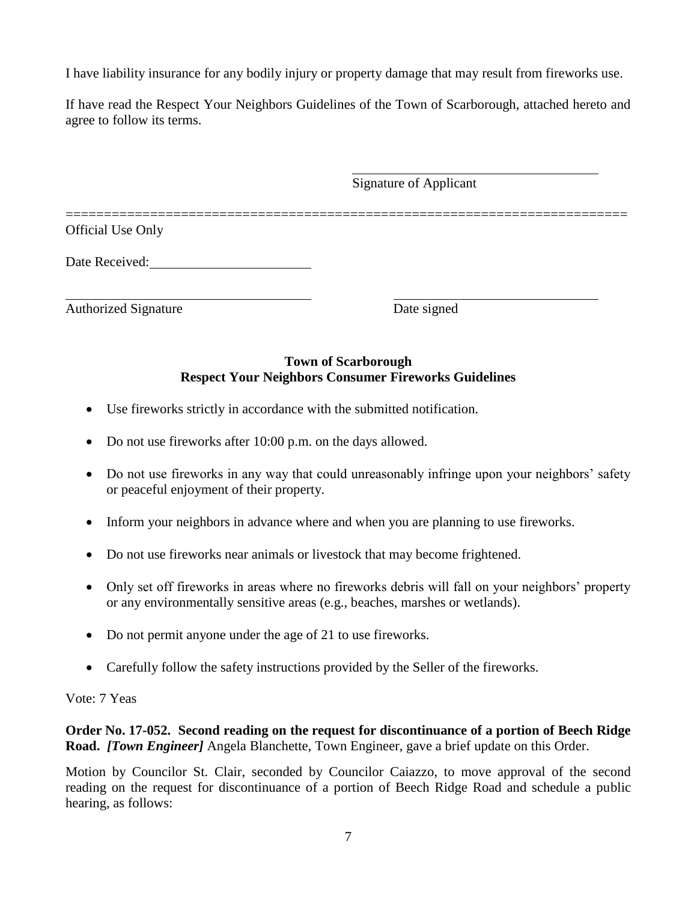I have liability insurance for any bodily injury or property damage that may result from fireworks use.

If have read the Respect Your Neighbors Guidelines of the Town of Scarborough, attached hereto and agree to follow its terms.

|                             | <b>Signature of Applicant</b> |  |
|-----------------------------|-------------------------------|--|
| <b>Official Use Only</b>    |                               |  |
| Date Received:              |                               |  |
| <b>Authorized Signature</b> | Date signed                   |  |

## **Town of Scarborough Respect Your Neighbors Consumer Fireworks Guidelines**

- Use fireworks strictly in accordance with the submitted notification.
- Do not use fireworks after 10:00 p.m. on the days allowed.
- Do not use fireworks in any way that could unreasonably infringe upon your neighbors' safety or peaceful enjoyment of their property.
- Inform your neighbors in advance where and when you are planning to use fireworks.
- Do not use fireworks near animals or livestock that may become frightened.
- Only set off fireworks in areas where no fireworks debris will fall on your neighbors' property or any environmentally sensitive areas (e.g., beaches, marshes or wetlands).
- Do not permit anyone under the age of 21 to use fireworks.
- Carefully follow the safety instructions provided by the Seller of the fireworks.

## Vote: 7 Yeas

## **Order No. 17-052. Second reading on the request for discontinuance of a portion of Beech Ridge Road.** *[Town Engineer]* Angela Blanchette, Town Engineer, gave a brief update on this Order.

Motion by Councilor St. Clair, seconded by Councilor Caiazzo, to move approval of the second reading on the request for discontinuance of a portion of Beech Ridge Road and schedule a public hearing, as follows: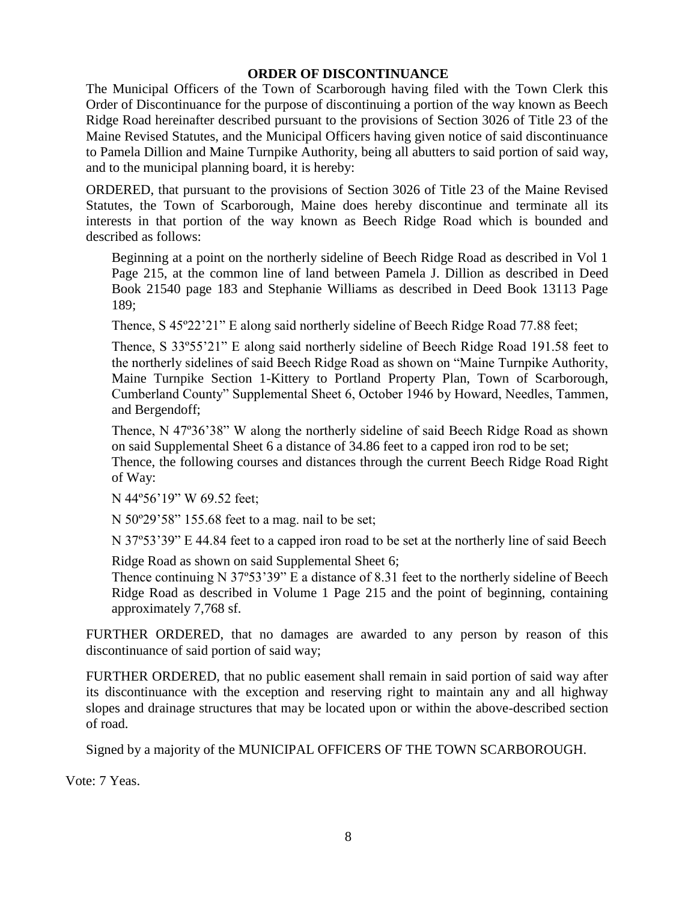### **ORDER OF DISCONTINUANCE**

The Municipal Officers of the Town of Scarborough having filed with the Town Clerk this Order of Discontinuance for the purpose of discontinuing a portion of the way known as Beech Ridge Road hereinafter described pursuant to the provisions of Section 3026 of Title 23 of the Maine Revised Statutes, and the Municipal Officers having given notice of said discontinuance to Pamela Dillion and Maine Turnpike Authority, being all abutters to said portion of said way, and to the municipal planning board, it is hereby:

ORDERED, that pursuant to the provisions of Section 3026 of Title 23 of the Maine Revised Statutes, the Town of Scarborough, Maine does hereby discontinue and terminate all its interests in that portion of the way known as Beech Ridge Road which is bounded and described as follows:

Beginning at a point on the northerly sideline of Beech Ridge Road as described in Vol 1 Page 215, at the common line of land between Pamela J. Dillion as described in Deed Book 21540 page 183 and Stephanie Williams as described in Deed Book 13113 Page 189;

Thence, S 45º22'21" E along said northerly sideline of Beech Ridge Road 77.88 feet;

Thence, S 33º55'21" E along said northerly sideline of Beech Ridge Road 191.58 feet to the northerly sidelines of said Beech Ridge Road as shown on "Maine Turnpike Authority, Maine Turnpike Section 1-Kittery to Portland Property Plan, Town of Scarborough, Cumberland County" Supplemental Sheet 6, October 1946 by Howard, Needles, Tammen, and Bergendoff;

Thence, N 47º36'38" W along the northerly sideline of said Beech Ridge Road as shown on said Supplemental Sheet 6 a distance of 34.86 feet to a capped iron rod to be set; Thence, the following courses and distances through the current Beech Ridge Road Right of Way:

N 44º56'19" W 69.52 feet;

N 50º29'58" 155.68 feet to a mag. nail to be set;

N 37º53'39" E 44.84 feet to a capped iron road to be set at the northerly line of said Beech

Ridge Road as shown on said Supplemental Sheet 6;

Thence continuing N 37º53'39" E a distance of 8.31 feet to the northerly sideline of Beech Ridge Road as described in Volume 1 Page 215 and the point of beginning, containing approximately 7,768 sf.

FURTHER ORDERED, that no damages are awarded to any person by reason of this discontinuance of said portion of said way;

FURTHER ORDERED, that no public easement shall remain in said portion of said way after its discontinuance with the exception and reserving right to maintain any and all highway slopes and drainage structures that may be located upon or within the above-described section of road.

Signed by a majority of the MUNICIPAL OFFICERS OF THE TOWN SCARBOROUGH.

Vote: 7 Yeas.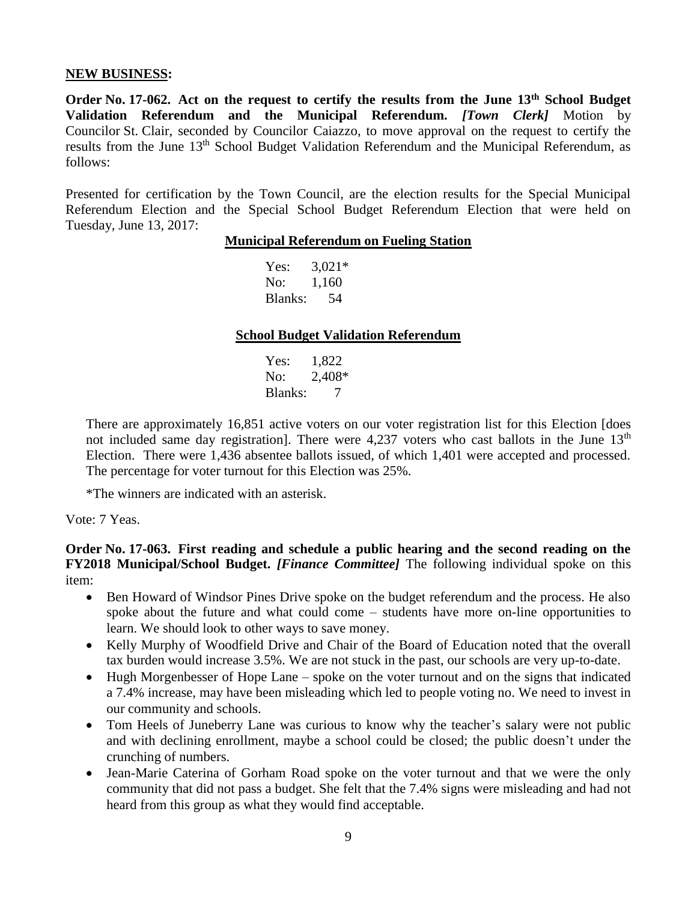#### **NEW BUSINESS:**

**Order No. 17-062. Act on the request to certify the results from the June 13th School Budget Validation Referendum and the Municipal Referendum.** *[Town Clerk]* Motion by Councilor St. Clair, seconded by Councilor Caiazzo, to move approval on the request to certify the results from the June 13th School Budget Validation Referendum and the Municipal Referendum, as follows:

Presented for certification by the Town Council, are the election results for the Special Municipal Referendum Election and the Special School Budget Referendum Election that were held on Tuesday, June 13, 2017:

#### **Municipal Referendum on Fueling Station**

Yes:  $3,021*$ No: 1,160 Blanks: 54

### **School Budget Validation Referendum**

Yes: 1,822 No: 2,408\* Blanks: 7

There are approximately 16,851 active voters on our voter registration list for this Election [does not included same day registration]. There were  $4,237$  voters who cast ballots in the June  $13<sup>th</sup>$ Election. There were 1,436 absentee ballots issued, of which 1,401 were accepted and processed. The percentage for voter turnout for this Election was 25%.

\*The winners are indicated with an asterisk.

### Vote: 7 Yeas.

**Order No. 17-063. First reading and schedule a public hearing and the second reading on the FY2018 Municipal/School Budget.** *[Finance Committee]* The following individual spoke on this item:

- Ben Howard of Windsor Pines Drive spoke on the budget referendum and the process. He also spoke about the future and what could come – students have more on-line opportunities to learn. We should look to other ways to save money.
- Kelly Murphy of Woodfield Drive and Chair of the Board of Education noted that the overall tax burden would increase 3.5%. We are not stuck in the past, our schools are very up-to-date.
- Hugh Morgenbesser of Hope Lane spoke on the voter turnout and on the signs that indicated a 7.4% increase, may have been misleading which led to people voting no. We need to invest in our community and schools.
- Tom Heels of Juneberry Lane was curious to know why the teacher's salary were not public and with declining enrollment, maybe a school could be closed; the public doesn't under the crunching of numbers.
- Jean-Marie Caterina of Gorham Road spoke on the voter turnout and that we were the only community that did not pass a budget. She felt that the 7.4% signs were misleading and had not heard from this group as what they would find acceptable.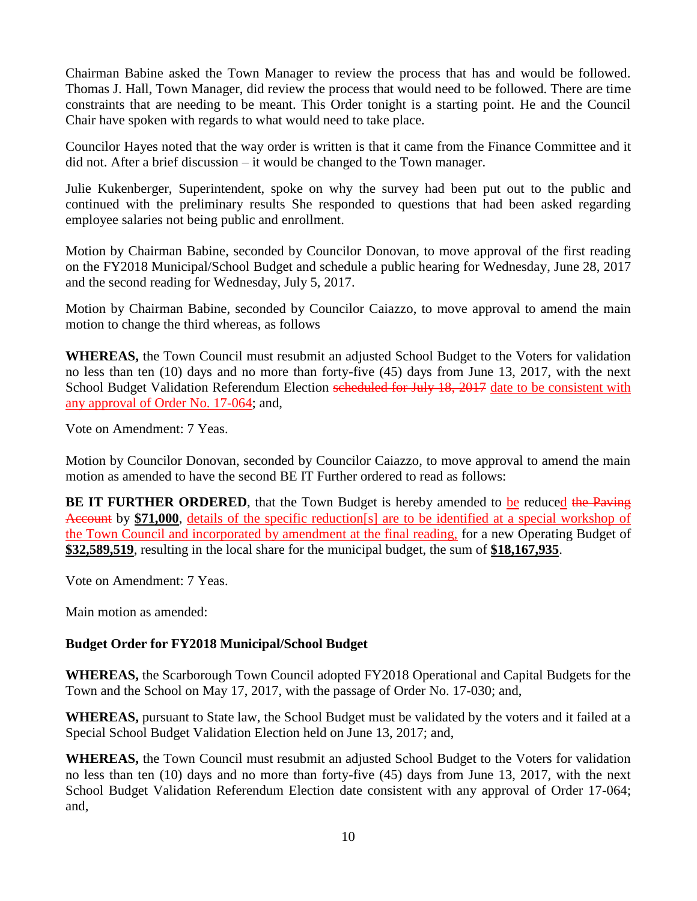Chairman Babine asked the Town Manager to review the process that has and would be followed. Thomas J. Hall, Town Manager, did review the process that would need to be followed. There are time constraints that are needing to be meant. This Order tonight is a starting point. He and the Council Chair have spoken with regards to what would need to take place.

Councilor Hayes noted that the way order is written is that it came from the Finance Committee and it did not. After a brief discussion – it would be changed to the Town manager.

Julie Kukenberger, Superintendent, spoke on why the survey had been put out to the public and continued with the preliminary results She responded to questions that had been asked regarding employee salaries not being public and enrollment.

Motion by Chairman Babine, seconded by Councilor Donovan, to move approval of the first reading on the FY2018 Municipal/School Budget and schedule a public hearing for Wednesday, June 28, 2017 and the second reading for Wednesday, July 5, 2017.

Motion by Chairman Babine, seconded by Councilor Caiazzo, to move approval to amend the main motion to change the third whereas, as follows

**WHEREAS,** the Town Council must resubmit an adjusted School Budget to the Voters for validation no less than ten (10) days and no more than forty-five (45) days from June 13, 2017, with the next School Budget Validation Referendum Election scheduled for July 18, 2017 date to be consistent with any approval of Order No. 17-064; and,

Vote on Amendment: 7 Yeas.

Motion by Councilor Donovan, seconded by Councilor Caiazzo, to move approval to amend the main motion as amended to have the second BE IT Further ordered to read as follows:

**BE IT FURTHER ORDERED**, that the Town Budget is hereby amended to be reduced the Paving Account by **\$71,000**, details of the specific reduction[s] are to be identified at a special workshop of the Town Council and incorporated by amendment at the final reading, for a new Operating Budget of **\$32,589,519**, resulting in the local share for the municipal budget, the sum of **\$18,167,935**.

Vote on Amendment: 7 Yeas.

Main motion as amended:

## **Budget Order for FY2018 Municipal/School Budget**

**WHEREAS,** the Scarborough Town Council adopted FY2018 Operational and Capital Budgets for the Town and the School on May 17, 2017, with the passage of Order No. 17-030; and,

**WHEREAS,** pursuant to State law, the School Budget must be validated by the voters and it failed at a Special School Budget Validation Election held on June 13, 2017; and,

**WHEREAS,** the Town Council must resubmit an adjusted School Budget to the Voters for validation no less than ten (10) days and no more than forty-five (45) days from June 13, 2017, with the next School Budget Validation Referendum Election date consistent with any approval of Order 17-064; and,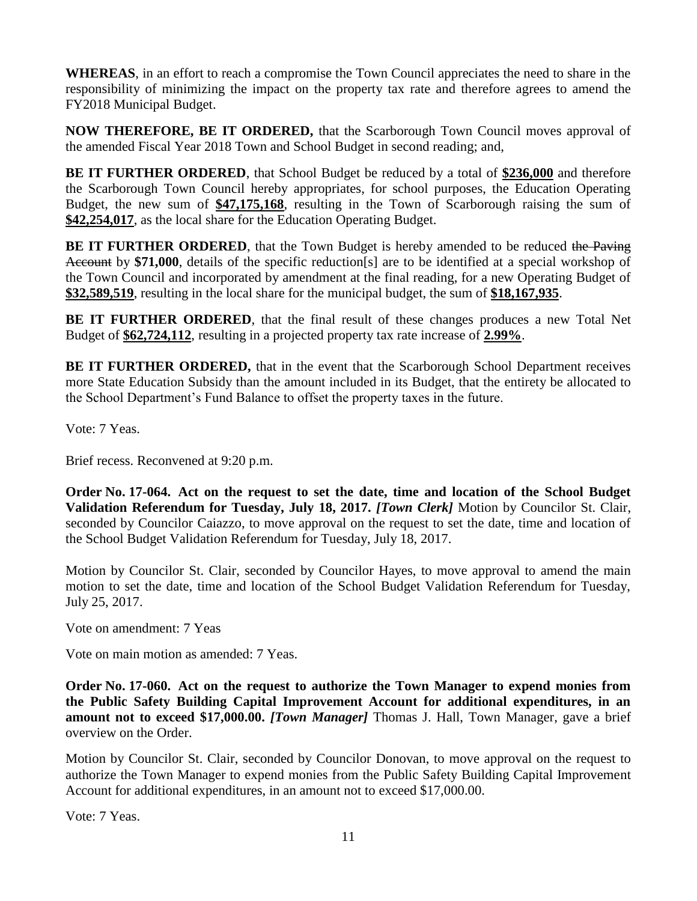**WHEREAS**, in an effort to reach a compromise the Town Council appreciates the need to share in the responsibility of minimizing the impact on the property tax rate and therefore agrees to amend the FY2018 Municipal Budget.

**NOW THEREFORE, BE IT ORDERED,** that the Scarborough Town Council moves approval of the amended Fiscal Year 2018 Town and School Budget in second reading; and,

**BE IT FURTHER ORDERED**, that School Budget be reduced by a total of **\$236,000** and therefore the Scarborough Town Council hereby appropriates, for school purposes, the Education Operating Budget, the new sum of **\$47,175,168**, resulting in the Town of Scarborough raising the sum of **\$42,254,017**, as the local share for the Education Operating Budget.

**BE IT FURTHER ORDERED**, that the Town Budget is hereby amended to be reduced the Paving Account by **\$71,000**, details of the specific reduction[s] are to be identified at a special workshop of the Town Council and incorporated by amendment at the final reading, for a new Operating Budget of **\$32,589,519**, resulting in the local share for the municipal budget, the sum of **\$18,167,935**.

**BE IT FURTHER ORDERED**, that the final result of these changes produces a new Total Net Budget of **\$62,724,112**, resulting in a projected property tax rate increase of **2.99%**.

**BE IT FURTHER ORDERED,** that in the event that the Scarborough School Department receives more State Education Subsidy than the amount included in its Budget, that the entirety be allocated to the School Department's Fund Balance to offset the property taxes in the future.

Vote: 7 Yeas.

Brief recess. Reconvened at 9:20 p.m.

**Order No. 17-064. Act on the request to set the date, time and location of the School Budget Validation Referendum for Tuesday, July 18, 2017.** *[Town Clerk]* Motion by Councilor St. Clair, seconded by Councilor Caiazzo, to move approval on the request to set the date, time and location of the School Budget Validation Referendum for Tuesday, July 18, 2017.

Motion by Councilor St. Clair, seconded by Councilor Hayes, to move approval to amend the main motion to set the date, time and location of the School Budget Validation Referendum for Tuesday, July 25, 2017.

Vote on amendment: 7 Yeas

Vote on main motion as amended: 7 Yeas.

**Order No. 17-060. Act on the request to authorize the Town Manager to expend monies from the Public Safety Building Capital Improvement Account for additional expenditures, in an amount not to exceed \$17,000.00.** *[Town Manager]* Thomas J. Hall, Town Manager, gave a brief overview on the Order.

Motion by Councilor St. Clair, seconded by Councilor Donovan, to move approval on the request to authorize the Town Manager to expend monies from the Public Safety Building Capital Improvement Account for additional expenditures, in an amount not to exceed \$17,000.00.

Vote: 7 Yeas.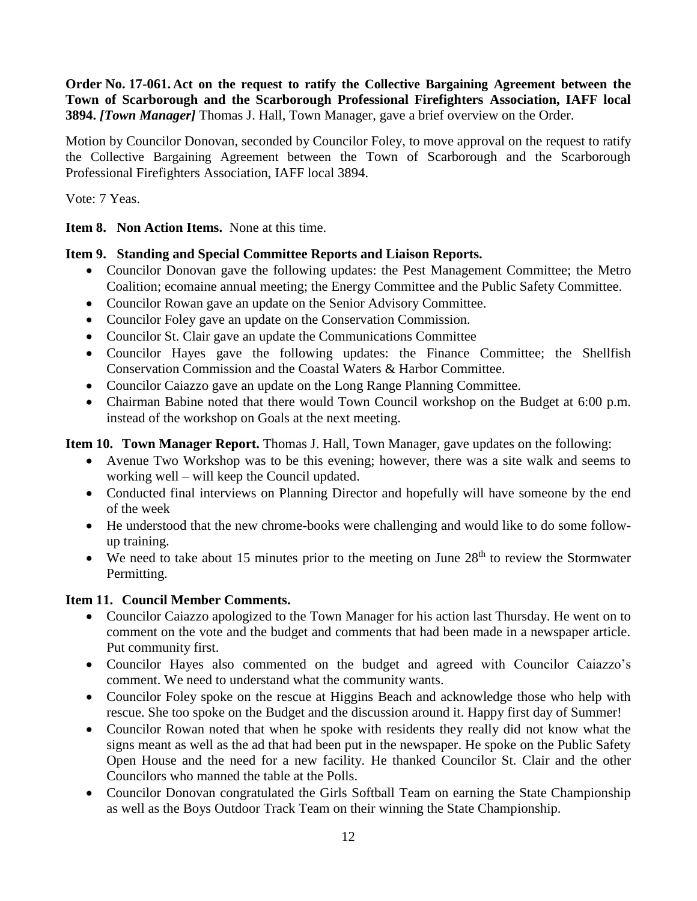**Order No. 17-061. Act on the request to ratify the Collective Bargaining Agreement between the Town of Scarborough and the Scarborough Professional Firefighters Association, IAFF local 3894.** *[Town Manager]* Thomas J. Hall, Town Manager, gave a brief overview on the Order.

Motion by Councilor Donovan, seconded by Councilor Foley, to move approval on the request to ratify the Collective Bargaining Agreement between the Town of Scarborough and the Scarborough Professional Firefighters Association, IAFF local 3894.

Vote: 7 Yeas.

**Item 8. Non Action Items.** None at this time.

## **Item 9. Standing and Special Committee Reports and Liaison Reports.**

- Councilor Donovan gave the following updates: the Pest Management Committee; the Metro Coalition; ecomaine annual meeting; the Energy Committee and the Public Safety Committee.
- Councilor Rowan gave an update on the Senior Advisory Committee.
- Councilor Foley gave an update on the Conservation Commission.
- Councilor St. Clair gave an update the Communications Committee
- Councilor Hayes gave the following updates: the Finance Committee; the Shellfish Conservation Commission and the Coastal Waters & Harbor Committee.
- Councilor Caiazzo gave an update on the Long Range Planning Committee.
- Chairman Babine noted that there would Town Council workshop on the Budget at 6:00 p.m. instead of the workshop on Goals at the next meeting.

**Item 10. Town Manager Report.** Thomas J. Hall, Town Manager, gave updates on the following:

- Avenue Two Workshop was to be this evening; however, there was a site walk and seems to working well – will keep the Council updated.
- Conducted final interviews on Planning Director and hopefully will have someone by the end of the week
- He understood that the new chrome-books were challenging and would like to do some followup training.
- $\bullet$  We need to take about 15 minutes prior to the meeting on June 28<sup>th</sup> to review the Stormwater Permitting.

# **Item 11. Council Member Comments.**

- Councilor Caiazzo apologized to the Town Manager for his action last Thursday. He went on to comment on the vote and the budget and comments that had been made in a newspaper article. Put community first.
- Councilor Hayes also commented on the budget and agreed with Councilor Caiazzo's comment. We need to understand what the community wants.
- Councilor Foley spoke on the rescue at Higgins Beach and acknowledge those who help with rescue. She too spoke on the Budget and the discussion around it. Happy first day of Summer!
- Councilor Rowan noted that when he spoke with residents they really did not know what the signs meant as well as the ad that had been put in the newspaper. He spoke on the Public Safety Open House and the need for a new facility. He thanked Councilor St. Clair and the other Councilors who manned the table at the Polls.
- Councilor Donovan congratulated the Girls Softball Team on earning the State Championship as well as the Boys Outdoor Track Team on their winning the State Championship.